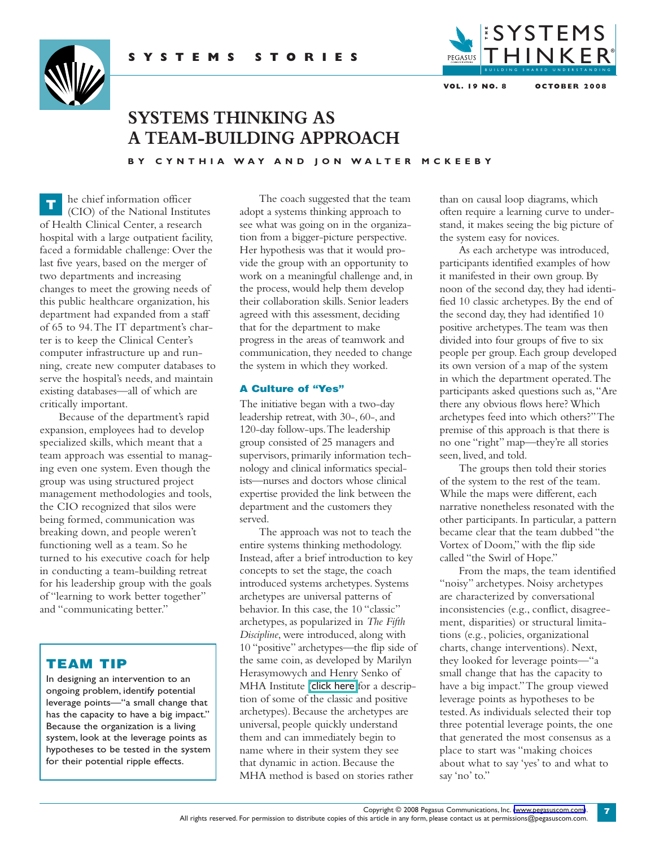



# **SYSTEMS THINKING AS A TEAM-BUILDING APPROACH**

BY CYNTHIA WAY AND ION WALTER MCKEEBY

he chief information officer (CIO) of the National Institutes of Health Clinical Center, a research hospital with a large outpatient facility, faced a formidable challenge: Over the last five years, based on the merger of two departments and increasing changes to meet the growing needs of this public healthcare organization, his department had expanded from a staff of 65 to 94.The IT department's charter is to keep the Clinical Center's computer infrastructure up and running, create new computer databases to serve the hospital's needs, and maintain existing databases—all of which are critically important. **T**

Because of the department's rapid expansion, employees had to develop specialized skills, which meant that a team approach was essential to managing even one system. Even though the group was using structured project management methodologies and tools, the CIO recognized that silos were being formed, communication was breaking down, and people weren't functioning well as a team. So he turned to his executive coach for help in conducting a team-building retreat for his leadership group with the goals of "learning to work better together" and "communicating better."

## **TEAM TIP**

In designing an intervention to an ongoing problem, identify potential leverage points—"a small change that has the capacity to have a big impact." Because the organization is a living system, look at the leverage points as hypotheses to be tested in the system for their potential ripple effects.

The coach suggested that the team adopt a systems thinking approach to see what was going on in the organization from a bigger-picture perspective. Her hypothesis was that it would provide the group with an opportunity to work on a meaningful challenge and, in the process, would help them develop their collaboration skills. Senior leaders agreed with this assessment, deciding that for the department to make progress in the areas of teamwork and communication, they needed to change the system in which they worked.

#### **A Culture of "Yes"**

The initiative began with a two-day leadership retreat, with 30-, 60-, and 120-day follow-ups.The leadership group consisted of 25 managers and supervisors, primarily information technology and clinical informatics specialists—nurses and doctors whose clinical expertise provided the link between the department and the customers they served.

The approach was not to teach the entire systems thinking methodology. Instead,after a brief introduction to key concepts to set the stage, the coach introduced systems archetypes. Systems archetypes are universal patterns of behavior. In this case, the 10 "classic" archetypes,as popularized in *The Fifth Discipline*, were introduced, along with 10 "positive" archetypes—the flip side of the same coin, as developed by Marilyn Herasymowych and Henry Senko of MHA Institute (click [here](http://www.pegasuscom.com/PDFs/Glossary_SS.pdf) for a description of some of the classic and positive archetypes). Because the archetypes are universal, people quickly understand them and can immediately begin to name where in their system they see that dynamic in action. Because the MHA method is based on stories rather

than on causal loop diagrams, which often require a learning curve to understand, it makes seeing the big picture of the system easy for novices.

As each archetype was introduced, participants identified examples of how it manifested in their own group. By noon of the second day, they had identified 10 classic archetypes. By the end of the second day, they had identified 10 positive archetypes.The team was then divided into four groups of five to six people per group. Each group developed its own version of a map of the system in which the department operated.The participants asked questions such as,"Are there any obvious flows here?Which archetypes feed into which others?"The premise of this approach is that there is no one "right" map—they're all stories seen, lived, and told.

The groups then told their stories of the system to the rest of the team. While the maps were different, each narrative nonetheless resonated with the other participants. In particular, a pattern became clear that the team dubbed "the Vortex of Doom," with the flip side called "the Swirl of Hope."

From the maps, the team identified "noisy" archetypes. Noisy archetypes are characterized by conversational inconsistencies (e.g., conflict, disagreement, disparities) or structural limitations (e.g., policies, organizational charts, change interventions). Next, they looked for leverage points—"a small change that has the capacity to have a big impact."The group viewed leverage points as hypotheses to be tested.As individuals selected their top three potential leverage points, the one that generated the most consensus as a place to start was "making choices about what to say 'yes' to and what to say 'no' to."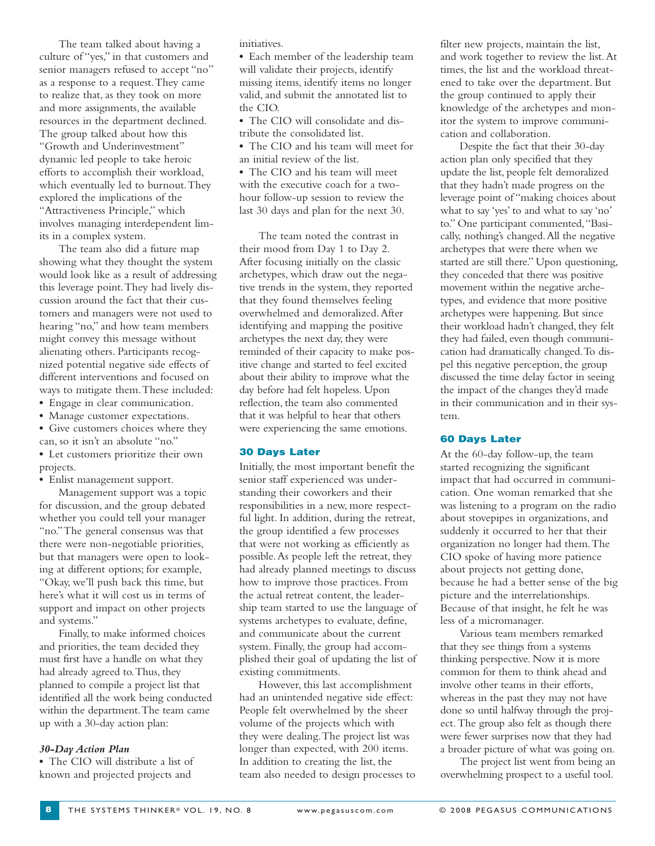The team talked about having a culture of "yes," in that customers and senior managers refused to accept "no" as a response to a request.They came to realize that, as they took on more and more assignments, the available resources in the department declined. The group talked about how this "Growth and Underinvestment" dynamic led people to take heroic efforts to accomplish their workload, which eventually led to burnout.They explored the implications of the "Attractiveness Principle," which involves managing interdependent limits in a complex system.

The team also did a future map showing what they thought the system would look like as a result of addressing this leverage point.They had lively discussion around the fact that their customers and managers were not used to hearing "no," and how team members might convey this message without alienating others. Participants recognized potential negative side effects of different interventions and focused on ways to mitigate them.These included:

- **•** Engage in clear communication.
- **•** Manage customer expectations.
- **•** Give customers choices where they can, so it isn't an absolute "no."
- **•** Let customers prioritize their own projects.

**•** Enlist management support.

Management support was a topic for discussion, and the group debated whether you could tell your manager "no."The general consensus was that there were non-negotiable priorities, but that managers were open to looking at different options; for example, "Okay, we'll push back this time, but here's what it will cost us in terms of support and impact on other projects and systems."

Finally, to make informed choices and priorities, the team decided they must first have a handle on what they had already agreed to.Thus, they planned to compile a project list that identified all the work being conducted within the department.The team came up with a 30-day action plan:

#### *30-Day Action Plan*

**•** The CIO will distribute a list of known and projected projects and

initiatives.

**•** Each member of the leadership team will validate their projects, identify missing items, identify items no longer valid, and submit the annotated list to the CIO.

**•** The CIO will consolidate and distribute the consolidated list.

**•** The CIO and his team will meet for an initial review of the list.

**•** The CIO and his team will meet with the executive coach for a twohour follow-up session to review the last 30 days and plan for the next 30.

The team noted the contrast in their mood from Day 1 to Day 2. After focusing initially on the classic archetypes, which draw out the negative trends in the system, they reported that they found themselves feeling overwhelmed and demoralized.After identifying and mapping the positive archetypes the next day, they were reminded of their capacity to make positive change and started to feel excited about their ability to improve what the day before had felt hopeless. Upon reflection, the team also commented that it was helpful to hear that others were experiencing the same emotions.

#### **30 Days Later**

Initially, the most important benefit the senior staff experienced was understanding their coworkers and their responsibilities in a new, more respectful light. In addition, during the retreat, the group identified a few processes that were not working as efficiently as possible.As people left the retreat, they had already planned meetings to discuss how to improve those practices. From the actual retreat content, the leadership team started to use the language of systems archetypes to evaluate, define, and communicate about the current system. Finally, the group had accomplished their goal of updating the list of existing commitments.

However, this last accomplishment had an unintended negative side effect: People felt overwhelmed by the sheer volume of the projects which with they were dealing.The project list was longer than expected, with 200 items. In addition to creating the list, the team also needed to design processes to filter new projects, maintain the list, and work together to review the list.At times, the list and the workload threatened to take over the department. But the group continued to apply their knowledge of the archetypes and monitor the system to improve communication and collaboration.

Despite the fact that their 30-day action plan only specified that they update the list, people felt demoralized that they hadn't made progress on the leverage point of "making choices about what to say 'yes' to and what to say 'no' to." One participant commented,"Basically, nothing's changed.All the negative archetypes that were there when we started are still there." Upon questioning, they conceded that there was positive movement within the negative archetypes, and evidence that more positive archetypes were happening. But since their workload hadn't changed, they felt they had failed, even though communication had dramatically changed.To dispel this negative perception, the group discussed the time delay factor in seeing the impact of the changes they'd made in their communication and in their system.

#### **60 Days Later**

At the 60-day follow-up, the team started recognizing the significant impact that had occurred in communication. One woman remarked that she was listening to a program on the radio about stovepipes in organizations, and suddenly it occurred to her that their organization no longer had them.The CIO spoke of having more patience about projects not getting done, because he had a better sense of the big picture and the interrelationships. Because of that insight, he felt he was less of a micromanager.

Various team members remarked that they see things from a systems thinking perspective. Now it is more common for them to think ahead and involve other teams in their efforts, whereas in the past they may not have done so until halfway through the project.The group also felt as though there were fewer surprises now that they had a broader picture of what was going on.

The project list went from being an overwhelming prospect to a useful tool.